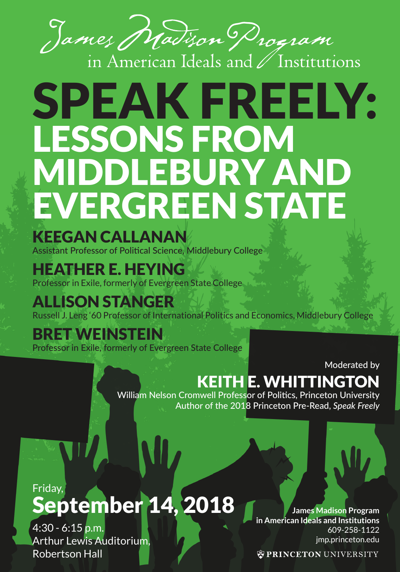

# SPEAK FREELY: LESSONS FROM MIDDLEBURY AND EVERGREEN STATE

KEEGAN CALLANAN

Assistant Professor of Political Science, Middlebury College

### HEATHER E. HEYING

Professor in Exile, formerly of Evergreen State College

### ALLISON STANGER

Russell J. Leng '60 Professor of International Politics and Economics, Middlebury College

### BRET WEINSTEIN

Professor in Exile, formerly of Evergreen State College

Moderated by

## KEITH E. WHITTINGTON

William Nelson Cromwell Professor of Politics, Princeton University Author of the 2018 Princeton Pre-Read, *Speak Freely*

### Friday, September 14, 2018

4:30 - 6:15 p.m. Arthur Lewis Auditorium, Robertson Hall

**James Madison Program in American Ideals and Institutions** 609-258-1122 jmp.princeton.edu

**WPRINCETON UNIVERSITY**